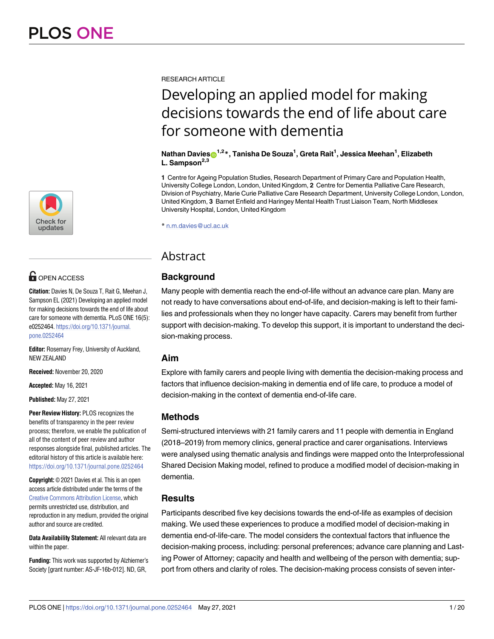

# **OPEN ACCESS**

**Citation:** Davies N, De Souza T, Rait G, Meehan J, Sampson EL (2021) Developing an applied model for making decisions towards the end of life about care for someone with dementia. PLoS ONE 16(5): e0252464. [https://doi.org/10.1371/journal.](https://doi.org/10.1371/journal.pone.0252464) [pone.0252464](https://doi.org/10.1371/journal.pone.0252464)

**Editor:** Rosemary Frey, University of Auckland, NEW ZEALAND

**Received:** November 20, 2020

**Accepted:** May 16, 2021

**Published:** May 27, 2021

**Peer Review History:** PLOS recognizes the benefits of transparency in the peer review process; therefore, we enable the publication of all of the content of peer review and author responses alongside final, published articles. The editorial history of this article is available here: <https://doi.org/10.1371/journal.pone.0252464>

**Copyright:** © 2021 Davies et al. This is an open access article distributed under the terms of the Creative Commons [Attribution](http://creativecommons.org/licenses/by/4.0/) License, which permits unrestricted use, distribution, and reproduction in any medium, provided the original author and source are credited.

**Data Availability Statement:** All relevant data are within the paper.

**Funding:** This work was supported by Alzhiemer's Society [grant number: AS-JF-16b-012]. ND, GR,

RESEARCH ARTICLE

# Developing an applied model for making decisions towards the end of life about care for someone with dementia

#### $\mathbf{N}$ athan Davies $\mathbf{D}^{1,2}$ \*, Tanisha De Souza<sup>1</sup>, Greta Rait<sup>1</sup>, Jessica Meehan<sup>1</sup>, Elizabeth **L. Sampson2,3**

**1** Centre for Ageing Population Studies, Research Department of Primary Care and Population Health, University College London, London, United Kingdom, **2** Centre for Dementia Palliative Care Research, Division of Psychiatry, Marie Curie Palliative Care Research Department, University College London, London, United Kingdom, **3** Barnet Enfield and Haringey Mental Health Trust Liaison Team, North Middlesex University Hospital, London, United Kingdom

\* n.m.davies@ucl.ac.uk

# Abstract

# **Background**

Many people with dementia reach the end-of-life without an advance care plan. Many are not ready to have conversations about end-of-life, and decision-making is left to their families and professionals when they no longer have capacity. Carers may benefit from further support with decision-making. To develop this support, it is important to understand the decision-making process.

## **Aim**

Explore with family carers and people living with dementia the decision-making process and factors that influence decision-making in dementia end of life care, to produce a model of decision-making in the context of dementia end-of-life care.

# **Methods**

Semi-structured interviews with 21 family carers and 11 people with dementia in England (2018–2019) from memory clinics, general practice and carer organisations. Interviews were analysed using thematic analysis and findings were mapped onto the Interprofessional Shared Decision Making model, refined to produce a modified model of decision-making in dementia.

# **Results**

Participants described five key decisions towards the end-of-life as examples of decision making. We used these experiences to produce a modified model of decision-making in dementia end-of-life-care. The model considers the contextual factors that influence the decision-making process, including: personal preferences; advance care planning and Lasting Power of Attorney; capacity and health and wellbeing of the person with dementia; support from others and clarity of roles. The decision-making process consists of seven inter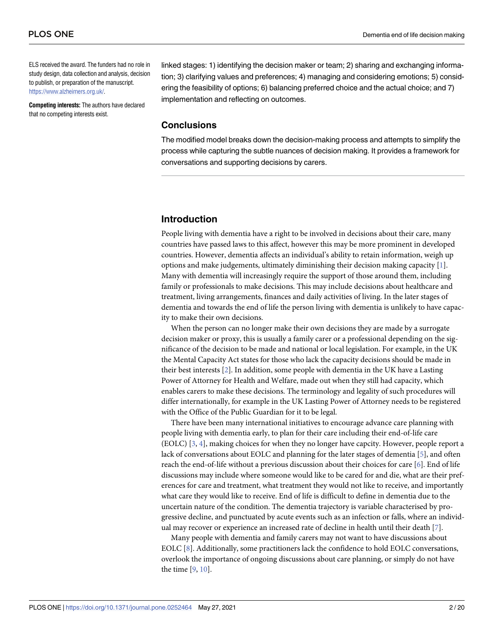<span id="page-1-0"></span>ELS received the award. The funders had no role in study design, data collection and analysis, decision to publish, or preparation of the manuscript. [https://www.alzheimers.org.uk/.](https://www.alzheimers.org.uk/)

**Competing interests:** The authors have declared that no competing interests exist.

linked stages: 1) identifying the decision maker or team; 2) sharing and exchanging information; 3) clarifying values and preferences; 4) managing and considering emotions; 5) considering the feasibility of options; 6) balancing preferred choice and the actual choice; and 7) implementation and reflecting on outcomes.

### **Conclusions**

The modified model breaks down the decision-making process and attempts to simplify the process while capturing the subtle nuances of decision making. It provides a framework for conversations and supporting decisions by carers.

# **Introduction**

People living with dementia have a right to be involved in decisions about their care, many countries have passed laws to this affect, however this may be more prominent in developed countries. However, dementia affects an individual's ability to retain information, weigh up options and make judgements, ultimately diminishing their decision making capacity [[1\]](#page-17-0). Many with dementia will increasingly require the support of those around them, including family or professionals to make decisions. This may include decisions about healthcare and treatment, living arrangements, finances and daily activities of living. In the later stages of dementia and towards the end of life the person living with dementia is unlikely to have capacity to make their own decisions.

When the person can no longer make their own decisions they are made by a surrogate decision maker or proxy, this is usually a family carer or a professional depending on the significance of the decision to be made and national or local legislation. For example, in the UK the Mental Capacity Act states for those who lack the capacity decisions should be made in their best interests [\[2](#page-17-0)]. In addition, some people with dementia in the UK have a Lasting Power of Attorney for Health and Welfare, made out when they still had capacity, which enables carers to make these decisions. The terminology and legality of such procedures will differ internationally, for example in the UK Lasting Power of Attorney needs to be registered with the Office of the Public Guardian for it to be legal.

There have been many international initiatives to encourage advance care planning with people living with dementia early, to plan for their care including their end-of-life care (EOLC) [[3](#page-17-0), [4\]](#page-17-0), making choices for when they no longer have capcity. However, people report a lack of conversations about EOLC and planning for the later stages of dementia [\[5](#page-17-0)], and often reach the end-of-life without a previous discussion about their choices for care [[6](#page-17-0)]. End of life discussions may include where someone would like to be cared for and die, what are their preferences for care and treatment, what treatment they would not like to receive, and importantly what care they would like to receive. End of life is difficult to define in dementia due to the uncertain nature of the condition. The dementia trajectory is variable characterised by progressive decline, and punctuated by acute events such as an infection or falls, where an individual may recover or experience an increased rate of decline in health until their death [\[7\]](#page-17-0).

Many people with dementia and family carers may not want to have discussions about EOLC [[8\]](#page-17-0). Additionally, some practitioners lack the confidence to hold EOLC conversations, overlook the importance of ongoing discussions about care planning, or simply do not have the time [\[9](#page-17-0), [10](#page-17-0)].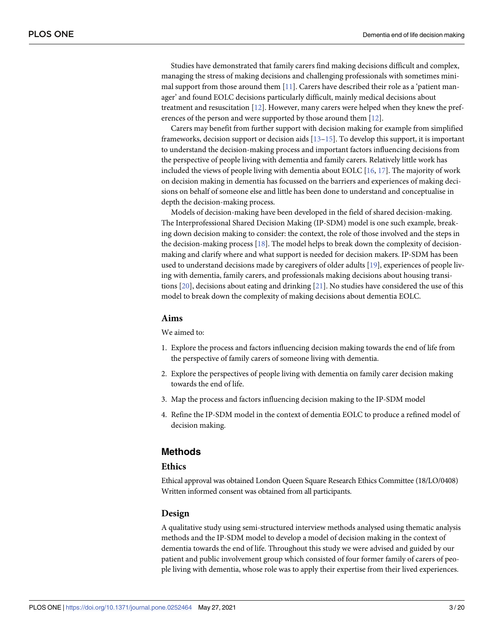<span id="page-2-0"></span>Studies have demonstrated that family carers find making decisions difficult and complex, managing the stress of making decisions and challenging professionals with sometimes minimal support from those around them  $[11]$ . Carers have described their role as a 'patient manager' and found EOLC decisions particularly difficult, mainly medical decisions about treatment and resuscitation [\[12\]](#page-17-0). However, many carers were helped when they knew the preferences of the person and were supported by those around them [\[12\]](#page-17-0).

Carers may benefit from further support with decision making for example from simplified frameworks, decision support or decision aids  $[13-15]$ . To develop this support, it is important to understand the decision-making process and important factors influencing decisions from the perspective of people living with dementia and family carers. Relatively little work has included the views of people living with dementia about EOLC [[16](#page-18-0), [17](#page-18-0)]. The majority of work on decision making in dementia has focussed on the barriers and experiences of making decisions on behalf of someone else and little has been done to understand and conceptualise in depth the decision-making process.

Models of decision-making have been developed in the field of shared decision-making. The Interprofessional Shared Decision Making (IP-SDM) model is one such example, breaking down decision making to consider: the context, the role of those involved and the steps in the decision-making process [\[18\]](#page-18-0). The model helps to break down the complexity of decisionmaking and clarify where and what support is needed for decision makers. IP-SDM has been used to understand decisions made by caregivers of older adults [\[19\]](#page-18-0), experiences of people living with dementia, family carers, and professionals making decisions about housing transitions [\[20\]](#page-18-0), decisions about eating and drinking [\[21\]](#page-18-0). No studies have considered the use of this model to break down the complexity of making decisions about dementia EOLC.

#### **Aims**

We aimed to:

- 1. Explore the process and factors influencing decision making towards the end of life from the perspective of family carers of someone living with dementia.
- 2. Explore the perspectives of people living with dementia on family carer decision making towards the end of life.
- 3. Map the process and factors influencing decision making to the IP-SDM model
- 4. Refine the IP-SDM model in the context of dementia EOLC to produce a refined model of decision making.

#### **Methods**

#### **Ethics**

Ethical approval was obtained London Queen Square Research Ethics Committee (18/LO/0408) Written informed consent was obtained from all participants.

#### **Design**

A qualitative study using semi-structured interview methods analysed using thematic analysis methods and the IP-SDM model to develop a model of decision making in the context of dementia towards the end of life. Throughout this study we were advised and guided by our patient and public involvement group which consisted of four former family of carers of people living with dementia, whose role was to apply their expertise from their lived experiences.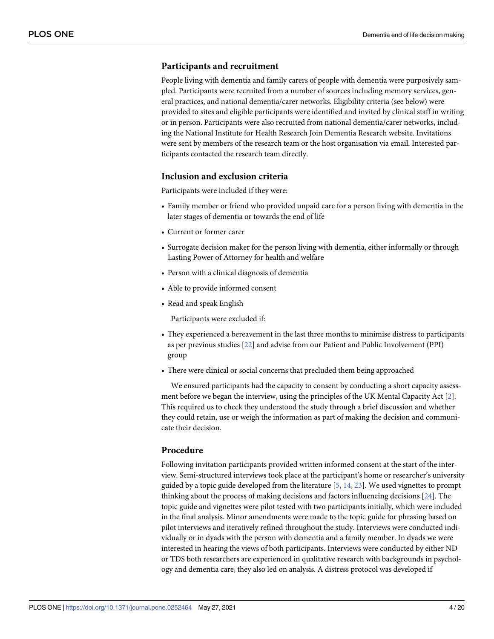#### <span id="page-3-0"></span>**Participants and recruitment**

People living with dementia and family carers of people with dementia were purposively sampled. Participants were recruited from a number of sources including memory services, general practices, and national dementia/carer networks. Eligibility criteria (see below) were provided to sites and eligible participants were identified and invited by clinical staff in writing or in person. Participants were also recruited from national dementia/carer networks, including the National Institute for Health Research Join Dementia Research website. Invitations were sent by members of the research team or the host organisation via email. Interested participants contacted the research team directly.

#### **Inclusion and exclusion criteria**

Participants were included if they were:

- Family member or friend who provided unpaid care for a person living with dementia in the later stages of dementia or towards the end of life
- Current or former carer
- Surrogate decision maker for the person living with dementia, either informally or through Lasting Power of Attorney for health and welfare
- Person with a clinical diagnosis of dementia
- Able to provide informed consent
- Read and speak English

Participants were excluded if:

- They experienced a bereavement in the last three months to minimise distress to participants as per previous studies [\[22\]](#page-18-0) and advise from our Patient and Public Involvement (PPI) group
- There were clinical or social concerns that precluded them being approached

We ensured participants had the capacity to consent by conducting a short capacity assessment before we began the interview, using the principles of the UK Mental Capacity Act [\[2\]](#page-17-0). This required us to check they understood the study through a brief discussion and whether they could retain, use or weigh the information as part of making the decision and communicate their decision.

#### **Procedure**

Following invitation participants provided written informed consent at the start of the interview. Semi-structured interviews took place at the participant's home or researcher's university guided by a topic guide developed from the literature [\[5](#page-17-0), [14,](#page-18-0) [23\]](#page-18-0). We used vignettes to prompt thinking about the process of making decisions and factors influencing decisions [\[24\]](#page-18-0). The topic guide and vignettes were pilot tested with two participants initially, which were included in the final analysis. Minor amendments were made to the topic guide for phrasing based on pilot interviews and iteratively refined throughout the study. Interviews were conducted individually or in dyads with the person with dementia and a family member. In dyads we were interested in hearing the views of both participants. Interviews were conducted by either ND or TDS both researchers are experienced in qualitative research with backgrounds in psychology and dementia care, they also led on analysis. A distress protocol was developed if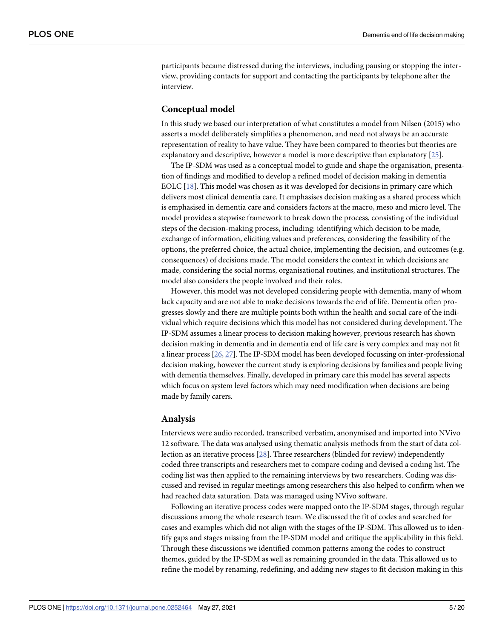<span id="page-4-0"></span>participants became distressed during the interviews, including pausing or stopping the interview, providing contacts for support and contacting the participants by telephone after the interview.

#### **Conceptual model**

In this study we based our interpretation of what constitutes a model from Nilsen (2015) who asserts a model deliberately simplifies a phenomenon, and need not always be an accurate representation of reality to have value. They have been compared to theories but theories are explanatory and descriptive, however a model is more descriptive than explanatory [[25](#page-18-0)].

The IP-SDM was used as a conceptual model to guide and shape the organisation, presentation of findings and modified to develop a refined model of decision making in dementia EOLC [[18](#page-18-0)]. This model was chosen as it was developed for decisions in primary care which delivers most clinical dementia care. It emphasises decision making as a shared process which is emphasised in dementia care and considers factors at the macro, meso and micro level. The model provides a stepwise framework to break down the process, consisting of the individual steps of the decision-making process, including: identifying which decision to be made, exchange of information, eliciting values and preferences, considering the feasibility of the options, the preferred choice, the actual choice, implementing the decision, and outcomes (e.g. consequences) of decisions made. The model considers the context in which decisions are made, considering the social norms, organisational routines, and institutional structures. The model also considers the people involved and their roles.

However, this model was not developed considering people with dementia, many of whom lack capacity and are not able to make decisions towards the end of life. Dementia often progresses slowly and there are multiple points both within the health and social care of the individual which require decisions which this model has not considered during development. The IP-SDM assumes a linear process to decision making however, previous research has shown decision making in dementia and in dementia end of life care is very complex and may not fit a linear process [[26](#page-18-0), [27\]](#page-18-0). The IP-SDM model has been developed focussing on inter-professional decision making, however the current study is exploring decisions by families and people living with dementia themselves. Finally, developed in primary care this model has several aspects which focus on system level factors which may need modification when decisions are being made by family carers.

#### **Analysis**

Interviews were audio recorded, transcribed verbatim, anonymised and imported into NVivo 12 software. The data was analysed using thematic analysis methods from the start of data collection as an iterative process [\[28\]](#page-18-0). Three researchers (blinded for review) independently coded three transcripts and researchers met to compare coding and devised a coding list. The coding list was then applied to the remaining interviews by two researchers. Coding was discussed and revised in regular meetings among researchers this also helped to confirm when we had reached data saturation. Data was managed using NVivo software.

Following an iterative process codes were mapped onto the IP-SDM stages, through regular discussions among the whole research team. We discussed the fit of codes and searched for cases and examples which did not align with the stages of the IP-SDM. This allowed us to identify gaps and stages missing from the IP-SDM model and critique the applicability in this field. Through these discussions we identified common patterns among the codes to construct themes, guided by the IP-SDM as well as remaining grounded in the data. This allowed us to refine the model by renaming, redefining, and adding new stages to fit decision making in this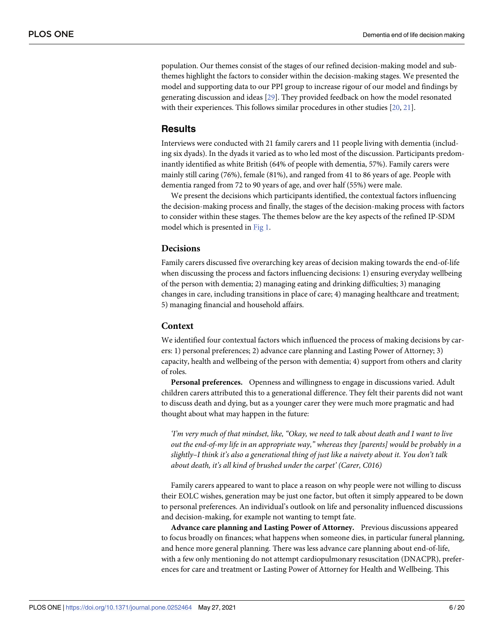<span id="page-5-0"></span>population. Our themes consist of the stages of our refined decision-making model and subthemes highlight the factors to consider within the decision-making stages. We presented the model and supporting data to our PPI group to increase rigour of our model and findings by generating discussion and ideas [\[29\]](#page-18-0). They provided feedback on how the model resonated with their experiences. This follows similar procedures in other studies [\[20,](#page-18-0) [21\]](#page-18-0).

# **Results**

Interviews were conducted with 21 family carers and 11 people living with dementia (including six dyads). In the dyads it varied as to who led most of the discussion. Participants predominantly identified as white British (64% of people with dementia, 57%). Family carers were mainly still caring (76%), female (81%), and ranged from 41 to 86 years of age. People with dementia ranged from 72 to 90 years of age, and over half (55%) were male.

We present the decisions which participants identified, the contextual factors influencing the decision-making process and finally, the stages of the decision-making process with factors to consider within these stages. The themes below are the key aspects of the refined IP-SDM model which is presented in [Fig](#page-6-0) 1.

#### **Decisions**

Family carers discussed five overarching key areas of decision making towards the end-of-life when discussing the process and factors influencing decisions: 1) ensuring everyday wellbeing of the person with dementia; 2) managing eating and drinking difficulties; 3) managing changes in care, including transitions in place of care; 4) managing healthcare and treatment; 5) managing financial and household affairs.

#### **Context**

We identified four contextual factors which influenced the process of making decisions by carers: 1) personal preferences; 2) advance care planning and Lasting Power of Attorney; 3) capacity, health and wellbeing of the person with dementia; 4) support from others and clarity of roles.

**Personal preferences.** Openness and willingness to engage in discussions varied. Adult children carers attributed this to a generational difference. They felt their parents did not want to discuss death and dying, but as a younger carer they were much more pragmatic and had thought about what may happen in the future:

*'I'm very much of that mindset, like, "Okay, we need to talk about death and I want to live out the end-of-my life in an appropriate way," whereas they [parents] would be probably in a slightly–I think it's also a generational thing of just like a naivety about it. You don't talk about death, it's all kind of brushed under the carpet' (Carer, C016)*

Family carers appeared to want to place a reason on why people were not willing to discuss their EOLC wishes, generation may be just one factor, but often it simply appeared to be down to personal preferences. An individual's outlook on life and personality influenced discussions and decision-making, for example not wanting to tempt fate.

**Advance care planning and Lasting Power of Attorney.** Previous discussions appeared to focus broadly on finances; what happens when someone dies, in particular funeral planning, and hence more general planning. There was less advance care planning about end-of-life, with a few only mentioning do not attempt cardiopulmonary resuscitation (DNACPR), preferences for care and treatment or Lasting Power of Attorney for Health and Wellbeing. This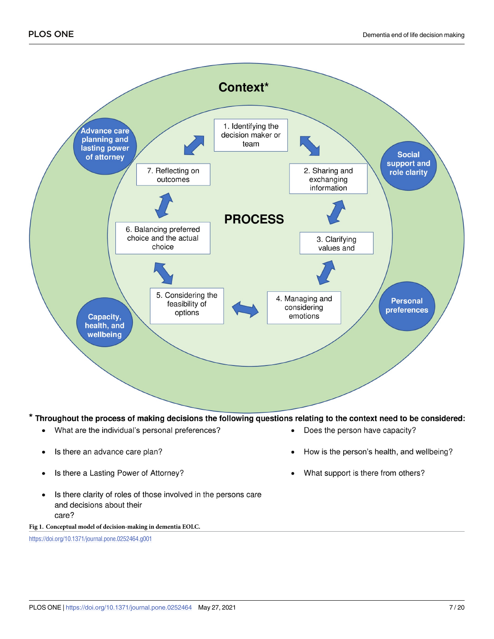<span id="page-6-0"></span>

#### \* Throughout the process of making decisions the following questions relating to the context need to be considered:

- What are the individual's personal preferences?  $\bullet$
- Is there an advance care plan?
- Is there a Lasting Power of Attorney?
- Is there clarity of roles of those involved in the persons care  $\bullet$ and decisions about their care?

**[Fig](#page-5-0) 1. Conceptual model of decision-making in dementia EOLC.**

<https://doi.org/10.1371/journal.pone.0252464.g001>

- Does the person have capacity?
- How is the person's health, and wellbeing?
- What support is there from others?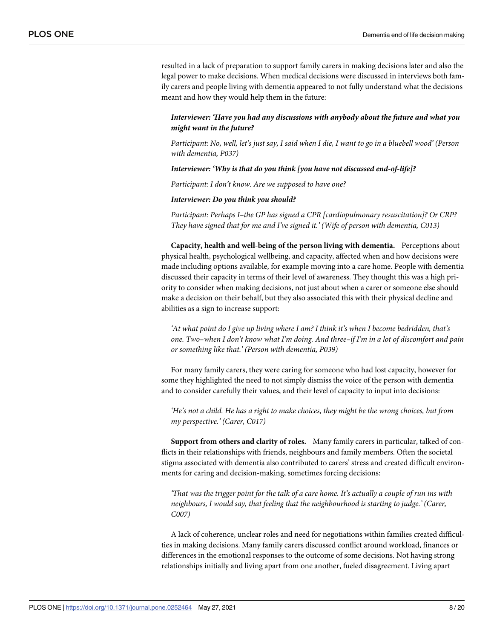resulted in a lack of preparation to support family carers in making decisions later and also the legal power to make decisions. When medical decisions were discussed in interviews both family carers and people living with dementia appeared to not fully understand what the decisions meant and how they would help them in the future:

#### *Interviewer: 'Have you had any discussions with anybody about the future and what you might want in the future?*

Participant: No, well, let's just say, I said when I die, I want to go in a bluebell wood' (Person *with dementia, P037)*

*Interviewer: 'Why is that do you think [you have not discussed end-of-life]?*

*Participant: I don't know. Are we supposed to have one?*

*Interviewer: Do you think you should?*

*Participant: Perhaps I–the GP has signed a CPR [cardiopulmonary resuscitation]? Or CRP? They have signed that for me and I've signed it.' (Wife of person with dementia, C013)*

**Capacity, health and well-being of the person living with dementia.** Perceptions about physical health, psychological wellbeing, and capacity, affected when and how decisions were made including options available, for example moving into a care home. People with dementia discussed their capacity in terms of their level of awareness. They thought this was a high priority to consider when making decisions, not just about when a carer or someone else should make a decision on their behalf, but they also associated this with their physical decline and abilities as a sign to increase support:

*'At what point do I give up living where I am? I think it's when I become bedridden, that's one. Two–when I don't know what I'm doing. And three–if I'm in a lot of discomfort and pain or something like that.' (Person with dementia, P039)*

For many family carers, they were caring for someone who had lost capacity, however for some they highlighted the need to not simply dismiss the voice of the person with dementia and to consider carefully their values, and their level of capacity to input into decisions:

He's not a child. He has a right to make choices, they might be the wrong choices, but from *my perspective.' (Carer, C017)*

**Support from others and clarity of roles.** Many family carers in particular, talked of conflicts in their relationships with friends, neighbours and family members. Often the societal stigma associated with dementia also contributed to carers' stress and created difficult environments for caring and decision-making, sometimes forcing decisions:

'That was the trigger point for the talk of a care home. It's actually a couple of run ins with *neighbours, I would say, that feeling that the neighbourhood is starting to judge.' (Carer, C007)*

A lack of coherence, unclear roles and need for negotiations within families created difficulties in making decisions. Many family carers discussed conflict around workload, finances or differences in the emotional responses to the outcome of some decisions. Not having strong relationships initially and living apart from one another, fueled disagreement. Living apart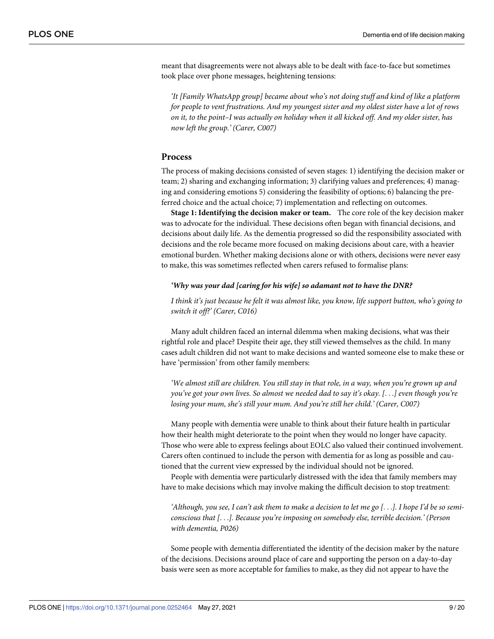meant that disagreements were not always able to be dealt with face-to-face but sometimes took place over phone messages, heightening tensions:

*'It [Family WhatsApp group] became about who's not doing stuff and kind of like a platform for people to vent frustrations. And my youngest sister and my oldest sister have a lot of rows* on it, to the point-I was actually on holiday when it all kicked off. And my older sister, has *now left the group.' (Carer, C007)*

#### **Process**

The process of making decisions consisted of seven stages: 1) identifying the decision maker or team; 2) sharing and exchanging information; 3) clarifying values and preferences; 4) managing and considering emotions 5) considering the feasibility of options; 6) balancing the preferred choice and the actual choice; 7) implementation and reflecting on outcomes.

**Stage 1: Identifying the decision maker or team.** The core role of the key decision maker was to advocate for the individual. These decisions often began with financial decisions, and decisions about daily life. As the dementia progressed so did the responsibility associated with decisions and the role became more focused on making decisions about care, with a heavier emotional burden. Whether making decisions alone or with others, decisions were never easy to make, this was sometimes reflected when carers refused to formalise plans:

#### *'Why was your dad [caring for his wife] so adamant not to have the DNR?*

I think it's just because he felt it was almost like, you know, life support button, who's going to *switch it off?' (Carer, C016)*

Many adult children faced an internal dilemma when making decisions, what was their rightful role and place? Despite their age, they still viewed themselves as the child. In many cases adult children did not want to make decisions and wanted someone else to make these or have 'permission' from other family members:

'We almost still are children. You still stay in that role, in a way, when you're grown up and you've got your own lives. So almost we needed dad to say it's okay. [...] even though you're *losing your mum, she's still your mum. And you're still her child.' (Carer, C007)*

Many people with dementia were unable to think about their future health in particular how their health might deteriorate to the point when they would no longer have capacity. Those who were able to express feelings about EOLC also valued their continued involvement. Carers often continued to include the person with dementia for as long as possible and cautioned that the current view expressed by the individual should not be ignored.

People with dementia were particularly distressed with the idea that family members may have to make decisions which may involve making the difficult decision to stop treatment:

'Although, you see, I can't ask them to make a decision to let me go [...]. I hope I'd be so semi*conscious that [*. . .*]. Because you're imposing on somebody else, terrible decision.' (Person with dementia, P026)*

Some people with dementia differentiated the identity of the decision maker by the nature of the decisions. Decisions around place of care and supporting the person on a day-to-day basis were seen as more acceptable for families to make, as they did not appear to have the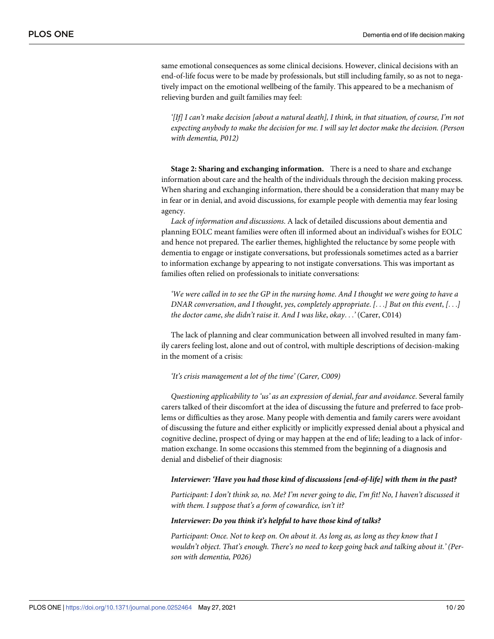same emotional consequences as some clinical decisions. However, clinical decisions with an end-of-life focus were to be made by professionals, but still including family, so as not to negatively impact on the emotional wellbeing of the family. This appeared to be a mechanism of relieving burden and guilt families may feel:

'[If] I can't make decision [about a natural death], I think, in that situation, of course, I'm not *expecting anybody to make the decision for me. I will say let doctor make the decision. (Person with dementia, P012)*

**Stage 2: Sharing and exchanging information.** There is a need to share and exchange information about care and the health of the individuals through the decision making process. When sharing and exchanging information, there should be a consideration that many may be in fear or in denial, and avoid discussions, for example people with dementia may fear losing agency.

*Lack of information and discussions*. A lack of detailed discussions about dementia and planning EOLC meant families were often ill informed about an individual's wishes for EOLC and hence not prepared. The earlier themes, highlighted the reluctance by some people with dementia to engage or instigate conversations, but professionals sometimes acted as a barrier to information exchange by appearing to not instigate conversations. This was important as families often relied on professionals to initiate conversations:

We were called in to see the GP in the nursing home. And I thought we were going to have a *DNAR conversation*, *and I thought*, *yes*, *completely appropriate*. *[*. . .*] But on this event*, *[*. . .*] the doctor came*, *she didn't raise it*. *And I was like*, *okay*. . .*'* (Carer, C014)

The lack of planning and clear communication between all involved resulted in many family carers feeling lost, alone and out of control, with multiple descriptions of decision-making in the moment of a crisis:

#### *'It's crisis management a lot of the time' (Carer, C009)*

*Questioning applicability to 'us' as an expression of denial*, *fear and avoidance*. Several family carers talked of their discomfort at the idea of discussing the future and preferred to face problems or difficulties as they arose. Many people with dementia and family carers were avoidant of discussing the future and either explicitly or implicitly expressed denial about a physical and cognitive decline, prospect of dying or may happen at the end of life; leading to a lack of information exchange. In some occasions this stemmed from the beginning of a diagnosis and denial and disbelief of their diagnosis:

#### *Interviewer: 'Have you had those kind of discussions [end-of-life] with them in the past?*

Participant: I don't think so, no. Me? I'm never going to die, I'm fit! No, I haven't discussed it *with them. I suppose that's a form of cowardice, isn't it?*

#### *Interviewer: Do you think it's helpful to have those kind of talks?*

*Participant: Once. Not to keep on. On about it. As long as, as long as they know that I wouldn't object. That's enough. There's no need to keep going back and talking about it.' (Person with dementia, P026)*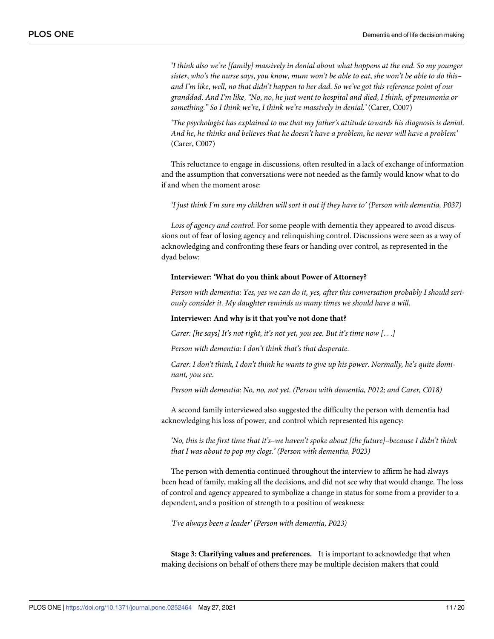*'I think also we're [family] massively in denial about what happens at the end*. *So my younger* sister, who's the nurse says, you know, mum won't be able to eat, she won't be able to do thisand I'm like, well, no that didn't happen to her dad. So we've got this reference point of our *granddad*. *And I'm like*, *"No*, *no*, *he just went to hospital and died*, *I think*, *of pneumonia or something*.*" So I think we're*, *I think we're massively in denial*.*'* (Carer, C007)

*'The psychologist has explained to me that my father's attitude towards his diagnosis is denial*. *And he*, *he thinks and believes that he doesn't have a problem*, *he never will have a problem'* (Carer, C007)

This reluctance to engage in discussions, often resulted in a lack of exchange of information and the assumption that conversations were not needed as the family would know what to do if and when the moment arose:

'I just think I'm sure my children will sort it out if they have to' (Person with dementia, P037)

*Loss of agency and control*. For some people with dementia they appeared to avoid discussions out of fear of losing agency and relinquishing control. Discussions were seen as a way of acknowledging and confronting these fears or handing over control, as represented in the dyad below:

#### **Interviewer: 'What do you think about Power of Attorney?**

*Person with dementia: Yes, yes we can do it, yes, after this conversation probably I should seriously consider it. My daughter reminds us many times we should have a will*.

#### **Interviewer: And why is it that you've not done that?**

*Carer: [he says] It's not right, it's not yet, you see. But it's time now [*. . .*]*

*Person with dementia: I don't think that's that desperate*.

*Carer: I don't think, I don't think he wants to give up his power. Normally, he's quite dominant, you see*.

*Person with dementia: No, no, not yet. (Person with dementia, P012; and Carer, C018)*

A second family interviewed also suggested the difficulty the person with dementia had acknowledging his loss of power, and control which represented his agency:

*'No, this is the first time that it's–we haven't spoke about [the future]–because I didn't think that I was about to pop my clogs.' (Person with dementia, P023)*

The person with dementia continued throughout the interview to affirm he had always been head of family, making all the decisions, and did not see why that would change. The loss of control and agency appeared to symbolize a change in status for some from a provider to a dependent, and a position of strength to a position of weakness:

*'I've always been a leader' (Person with dementia, P023)*

**Stage 3: Clarifying values and preferences.** It is important to acknowledge that when making decisions on behalf of others there may be multiple decision makers that could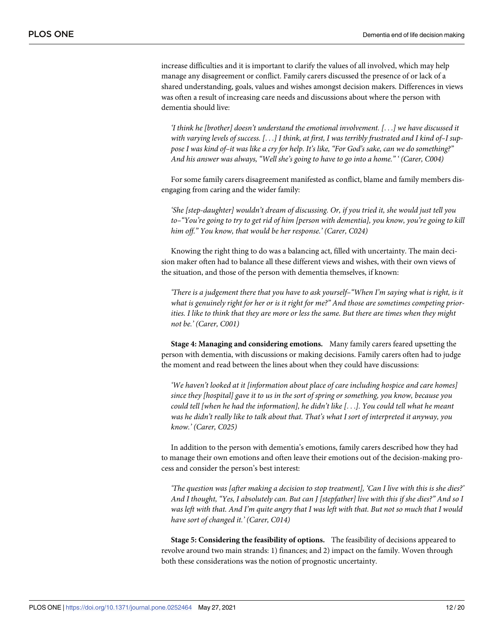increase difficulties and it is important to clarify the values of all involved, which may help manage any disagreement or conflict. Family carers discussed the presence of or lack of a shared understanding, goals, values and wishes amongst decision makers. Differences in views was often a result of increasing care needs and discussions about where the person with dementia should live:

*'I think he [brother] doesn't understand the emotional involvement. [*. . .*] we have discussed it* with varying levels of success.  $[\dots]$  I think, at first, I was terribly frustrated and I kind of-I suppose I was kind of-it was like a cry for help. It's like, "For God's sake, can we do something?" *And his answer was always, "Well she's going to have to go into a home." ' (Carer, C004)*

For some family carers disagreement manifested as conflict, blame and family members disengaging from caring and the wider family:

*'She [step-daughter] wouldn't dream of discussing. Or, if you tried it, she would just tell you to–"You're going to try to get rid of him [person with dementia], you know, you're going to kill him off." You know, that would be her response.' (Carer, C024)*

Knowing the right thing to do was a balancing act, filled with uncertainty. The main decision maker often had to balance all these different views and wishes, with their own views of the situation, and those of the person with dementia themselves, if known:

*'There is a judgement there that you have to ask yourself–"When I'm saying what is right, is it what is genuinely right for her or is it right for me?" And those are sometimes competing prior*ities. I like to think that they are more or less the same. But there are times when they might *not be.' (Carer, C001)*

**Stage 4: Managing and considering emotions.** Many family carers feared upsetting the person with dementia, with discussions or making decisions. Family carers often had to judge the moment and read between the lines about when they could have discussions:

*'We haven't looked at it [information about place of care including hospice and care homes] since they [hospital] gave it to us in the sort of spring or something, you know, because you could tell [when he had the information], he didn't like [*. . .*]. You could tell what he meant was he didn't really like to talk about that. That's what I sort of interpreted it anyway, you know.' (Carer, C025)*

In addition to the person with dementia's emotions, family carers described how they had to manage their own emotions and often leave their emotions out of the decision-making process and consider the person's best interest:

*'The question was [after making a decision to stop treatment], 'Can I live with this is she dies?'* And I thought, "Yes, I absolutely can. But can J [stepfather] live with this if she dies?" And so I was left with that. And I'm quite angry that I was left with that. But not so much that I would *have sort of changed it.' (Carer, C014)*

**Stage 5: Considering the feasibility of options.** The feasibility of decisions appeared to revolve around two main strands: 1) finances; and 2) impact on the family. Woven through both these considerations was the notion of prognostic uncertainty.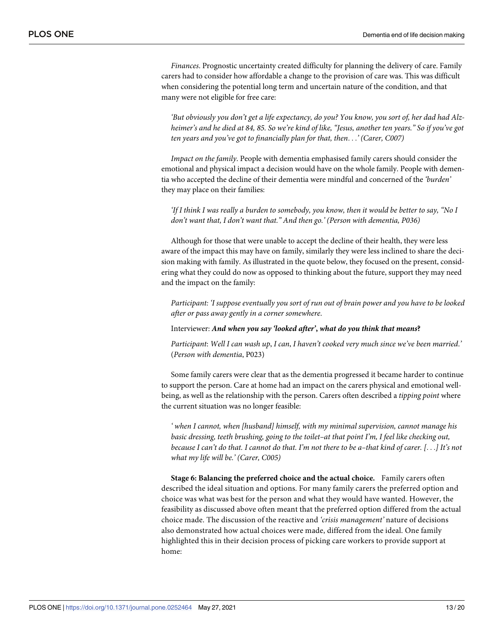*Finances*. Prognostic uncertainty created difficulty for planning the delivery of care. Family carers had to consider how affordable a change to the provision of care was. This was difficult when considering the potential long term and uncertain nature of the condition, and that many were not eligible for free care:

'But obviously you don't get a life expectancy, do you? You know, you sort of, her dad had Alzheimer's and he died at 84, 85. So we're kind of like, "Jesus, another ten years." So if you've got *ten years and you've got to financially plan for that, then*. . .*' (Carer, C007)*

*Impact on the family*. People with dementia emphasised family carers should consider the emotional and physical impact a decision would have on the whole family. People with dementia who accepted the decline of their dementia were mindful and concerned of the *'burden'* they may place on their families:

'If I think I was really a burden to somebody, you know, then it would be better to say, "No I *don't want that, I don't want that." And then go.' (Person with dementia, P036)*

Although for those that were unable to accept the decline of their health, they were less aware of the impact this may have on family, similarly they were less inclined to share the decision making with family. As illustrated in the quote below, they focused on the present, considering what they could do now as opposed to thinking about the future, support they may need and the impact on the family:

*Participant: 'I suppose eventually you sort of run out of brain power and you have to be looked after or pass away gently in a corner somewhere*.

Interviewer: *And when you say 'looked after'***,** *what do you think that means***?**

*Participant*: *Well I can wash up*, *I can*, *I haven't cooked very much since we've been married*.*'* (*Person with dementia*, P023)

Some family carers were clear that as the dementia progressed it became harder to continue to support the person. Care at home had an impact on the carers physical and emotional wellbeing, as well as the relationship with the person. Carers often described a *tipping point* where the current situation was no longer feasible:

*' when I cannot, when [husband] himself, with my minimal supervision, cannot manage his basic dressing, teeth brushing, going to the toilet–at that point I'm, I feel like checking out,* because I can't do that. I cannot do that. I'm not there to be a-that kind of carer. [...] It's not *what my life will be.' (Carer, C005)*

**Stage 6: Balancing the preferred choice and the actual choice.** Family carers often described the ideal situation and options. For many family carers the preferred option and choice was what was best for the person and what they would have wanted. However, the feasibility as discussed above often meant that the preferred option differed from the actual choice made. The discussion of the reactive and *'crisis management'* nature of decisions also demonstrated how actual choices were made, differed from the ideal. One family highlighted this in their decision process of picking care workers to provide support at home: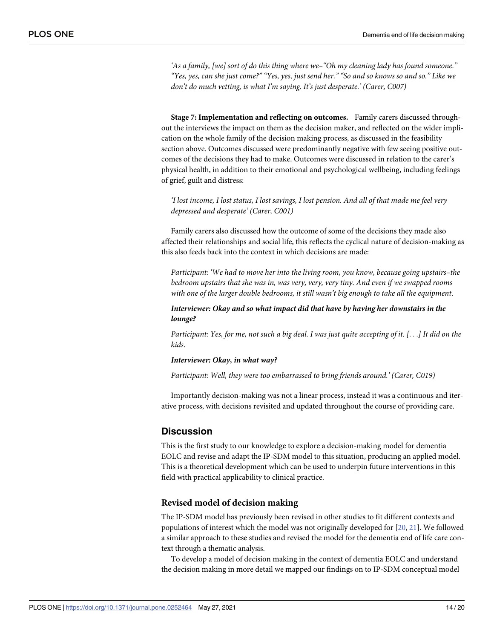*'As a family, [we] sort of do this thing where we–"Oh my cleaning lady has found someone."* "Yes, yes, can she just come?" "Yes, yes, just send her." "So and so knows so and so." Like we *don't do much vetting, is what I'm saying. It's just desperate.' (Carer, C007)*

**Stage 7: Implementation and reflecting on outcomes.** Family carers discussed throughout the interviews the impact on them as the decision maker, and reflected on the wider implication on the whole family of the decision making process, as discussed in the feasibility section above. Outcomes discussed were predominantly negative with few seeing positive outcomes of the decisions they had to make. Outcomes were discussed in relation to the carer's physical health, in addition to their emotional and psychological wellbeing, including feelings of grief, guilt and distress:

'I lost income, I lost status, I lost savings, I lost pension. And all of that made me feel very *depressed and desperate' (Carer, C001)*

Family carers also discussed how the outcome of some of the decisions they made also affected their relationships and social life, this reflects the cyclical nature of decision-making as this also feeds back into the context in which decisions are made:

*Participant: 'We had to move her into the living room, you know, because going upstairs–the bedroom upstairs that she was in, was very, very, very tiny. And even if we swapped rooms with one of the larger double bedrooms, it still wasn't big enough to take all the equipment*.

*Interviewer: Okay and so what impact did that have by having her downstairs in the lounge?*

Participant: Yes, for me, not such a big deal. I was just quite accepting of it. [...] It did on the *kids*.

#### *Interviewer: Okay, in what way?*

*Participant: Well, they were too embarrassed to bring friends around.' (Carer, C019)*

Importantly decision-making was not a linear process, instead it was a continuous and iterative process, with decisions revisited and updated throughout the course of providing care.

# **Discussion**

This is the first study to our knowledge to explore a decision-making model for dementia EOLC and revise and adapt the IP-SDM model to this situation, producing an applied model. This is a theoretical development which can be used to underpin future interventions in this field with practical applicability to clinical practice.

#### **Revised model of decision making**

The IP-SDM model has previously been revised in other studies to fit different contexts and populations of interest which the model was not originally developed for [\[20,](#page-18-0) [21\]](#page-18-0). We followed a similar approach to these studies and revised the model for the dementia end of life care context through a thematic analysis.

To develop a model of decision making in the context of dementia EOLC and understand the decision making in more detail we mapped our findings on to IP-SDM conceptual model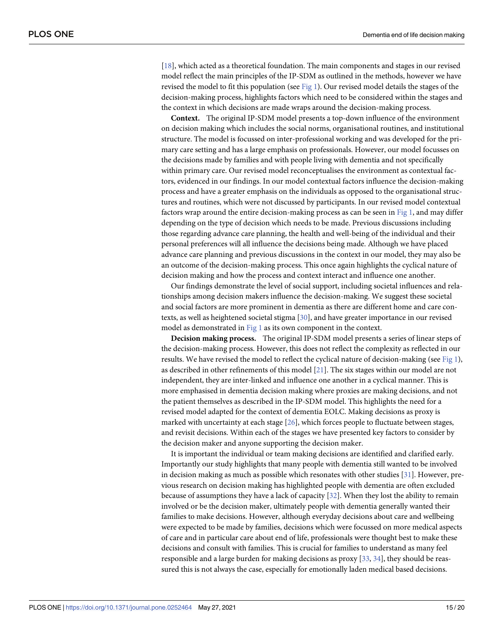<span id="page-14-0"></span>[\[18\]](#page-18-0), which acted as a theoretical foundation. The main components and stages in our revised model reflect the main principles of the IP-SDM as outlined in the methods, however we have revised the model to fit this population (see [Fig](#page-6-0) 1). Our revised model details the stages of the decision-making process, highlights factors which need to be considered within the stages and the context in which decisions are made wraps around the decision-making process.

**Context.** The original IP-SDM model presents a top-down influence of the environment on decision making which includes the social norms, organisational routines, and institutional structure. The model is focussed on inter-professional working and was developed for the primary care setting and has a large emphasis on professionals. However, our model focusses on the decisions made by families and with people living with dementia and not specifically within primary care. Our revised model reconceptualises the environment as contextual factors, evidenced in our findings. In our model contextual factors influence the decision-making process and have a greater emphasis on the individuals as opposed to the organisational structures and routines, which were not discussed by participants. In our revised model contextual factors wrap around the entire decision-making process as can be seen in [Fig](#page-6-0) 1, and may differ depending on the type of decision which needs to be made. Previous discussions including those regarding advance care planning, the health and well-being of the individual and their personal preferences will all influence the decisions being made. Although we have placed advance care planning and previous discussions in the context in our model, they may also be an outcome of the decision-making process. This once again highlights the cyclical nature of decision making and how the process and context interact and influence one another.

Our findings demonstrate the level of social support, including societal influences and relationships among decision makers influence the decision-making. We suggest these societal and social factors are more prominent in dementia as there are different home and care contexts, as well as heightened societal stigma [[30](#page-18-0)], and have greater importance in our revised model as demonstrated in [Fig](#page-6-0) 1 as its own component in the context.

**Decision making process.** The original IP-SDM model presents a series of linear steps of the decision-making process. However, this does not reflect the complexity as reflected in our results. We have revised the model to reflect the cyclical nature of decision-making (see [Fig](#page-6-0) 1), as described in other refinements of this model [\[21\]](#page-18-0). The six stages within our model are not independent, they are inter-linked and influence one another in a cyclical manner. This is more emphasised in dementia decision making where proxies are making decisions, and not the patient themselves as described in the IP-SDM model. This highlights the need for a revised model adapted for the context of dementia EOLC. Making decisions as proxy is marked with uncertainty at each stage [\[26\]](#page-18-0), which forces people to fluctuate between stages, and revisit decisions. Within each of the stages we have presented key factors to consider by the decision maker and anyone supporting the decision maker.

It is important the individual or team making decisions are identified and clarified early. Importantly our study highlights that many people with dementia still wanted to be involved in decision making as much as possible which resonates with other studies [[31](#page-18-0)]. However, previous research on decision making has highlighted people with dementia are often excluded because of assumptions they have a lack of capacity [\[32\]](#page-19-0). When they lost the ability to remain involved or be the decision maker, ultimately people with dementia generally wanted their families to make decisions. However, although everyday decisions about care and wellbeing were expected to be made by families, decisions which were focussed on more medical aspects of care and in particular care about end of life, professionals were thought best to make these decisions and consult with families. This is crucial for families to understand as many feel responsible and a large burden for making decisions as proxy [[33](#page-19-0), [34](#page-19-0)], they should be reassured this is not always the case, especially for emotionally laden medical based decisions.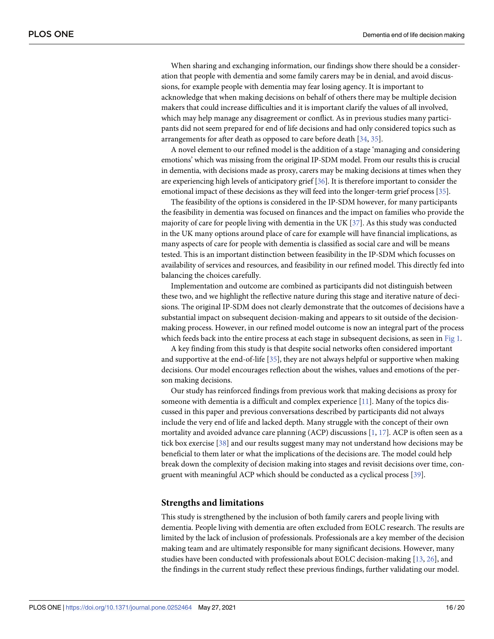<span id="page-15-0"></span>When sharing and exchanging information, our findings show there should be a consideration that people with dementia and some family carers may be in denial, and avoid discussions, for example people with dementia may fear losing agency. It is important to acknowledge that when making decisions on behalf of others there may be multiple decision makers that could increase difficulties and it is important clarify the values of all involved, which may help manage any disagreement or conflict. As in previous studies many participants did not seem prepared for end of life decisions and had only considered topics such as arrangements for after death as opposed to care before death [[34](#page-19-0), [35](#page-19-0)].

A novel element to our refined model is the addition of a stage 'managing and considering emotions' which was missing from the original IP-SDM model. From our results this is crucial in dementia, with decisions made as proxy, carers may be making decisions at times when they are experiencing high levels of anticipatory grief [[36\]](#page-19-0). It is therefore important to consider the emotional impact of these decisions as they will feed into the longer-term grief process [[35](#page-19-0)].

The feasibility of the options is considered in the IP-SDM however, for many participants the feasibility in dementia was focused on finances and the impact on families who provide the majority of care for people living with dementia in the UK [[37](#page-19-0)]. As this study was conducted in the UK many options around place of care for example will have financial implications, as many aspects of care for people with dementia is classified as social care and will be means tested. This is an important distinction between feasibility in the IP-SDM which focusses on availability of services and resources, and feasibility in our refined model. This directly fed into balancing the choices carefully.

Implementation and outcome are combined as participants did not distinguish between these two, and we highlight the reflective nature during this stage and iterative nature of decisions. The original IP-SDM does not clearly demonstrate that the outcomes of decisions have a substantial impact on subsequent decision-making and appears to sit outside of the decisionmaking process. However, in our refined model outcome is now an integral part of the process which feeds back into the entire process at each stage in subsequent decisions, as seen in [Fig](#page-6-0) 1.

A key finding from this study is that despite social networks often considered important and supportive at the end-of-life [\[35\]](#page-19-0), they are not always helpful or supportive when making decisions. Our model encourages reflection about the wishes, values and emotions of the person making decisions.

Our study has reinforced findings from previous work that making decisions as proxy for someone with dementia is a difficult and complex experience [\[11\]](#page-17-0). Many of the topics discussed in this paper and previous conversations described by participants did not always include the very end of life and lacked depth. Many struggle with the concept of their own mortality and avoided advance care planning (ACP) discussions  $[1, 17]$  $[1, 17]$  $[1, 17]$ . ACP is often seen as a tick box exercise [\[38\]](#page-19-0) and our results suggest many may not understand how decisions may be beneficial to them later or what the implications of the decisions are. The model could help break down the complexity of decision making into stages and revisit decisions over time, congruent with meaningful ACP which should be conducted as a cyclical process [\[39\]](#page-19-0).

#### **Strengths and limitations**

This study is strengthened by the inclusion of both family carers and people living with dementia. People living with dementia are often excluded from EOLC research. The results are limited by the lack of inclusion of professionals. Professionals are a key member of the decision making team and are ultimately responsible for many significant decisions. However, many studies have been conducted with professionals about EOLC decision-making [\[13,](#page-18-0) [26\]](#page-18-0), and the findings in the current study reflect these previous findings, further validating our model.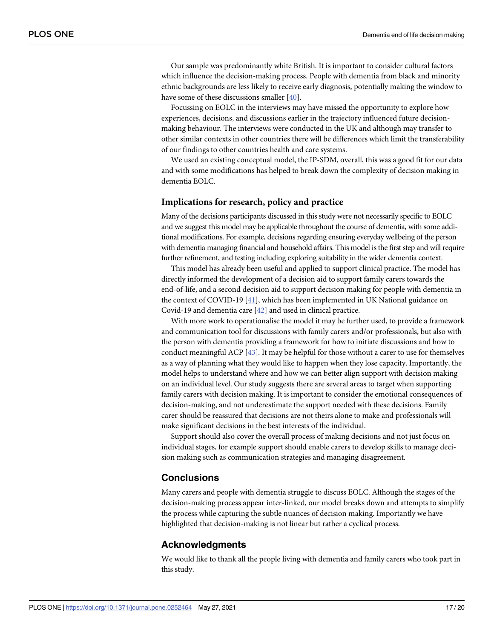<span id="page-16-0"></span>Our sample was predominantly white British. It is important to consider cultural factors which influence the decision-making process. People with dementia from black and minority ethnic backgrounds are less likely to receive early diagnosis, potentially making the window to have some of these discussions smaller [[40](#page-19-0)].

Focussing on EOLC in the interviews may have missed the opportunity to explore how experiences, decisions, and discussions earlier in the trajectory influenced future decisionmaking behaviour. The interviews were conducted in the UK and although may transfer to other similar contexts in other countries there will be differences which limit the transferability of our findings to other countries health and care systems.

We used an existing conceptual model, the IP-SDM, overall, this was a good fit for our data and with some modifications has helped to break down the complexity of decision making in dementia EOLC.

#### **Implications for research, policy and practice**

Many of the decisions participants discussed in this study were not necessarily specific to EOLC and we suggest this model may be applicable throughout the course of dementia, with some additional modifications. For example, decisions regarding ensuring everyday wellbeing of the person with dementia managing financial and household affairs. This model is the first step and will require further refinement, and testing including exploring suitability in the wider dementia context.

This model has already been useful and applied to support clinical practice. The model has directly informed the development of a decision aid to support family carers towards the end-of-life, and a second decision aid to support decision making for people with dementia in the context of COVID-19 [\[41\]](#page-19-0), which has been implemented in UK National guidance on Covid-19 and dementia care [\[42\]](#page-19-0) and used in clinical practice.

With more work to operationalise the model it may be further used, to provide a framework and communication tool for discussions with family carers and/or professionals, but also with the person with dementia providing a framework for how to initiate discussions and how to conduct meaningful ACP [\[43\]](#page-19-0). It may be helpful for those without a carer to use for themselves as a way of planning what they would like to happen when they lose capacity. Importantly, the model helps to understand where and how we can better align support with decision making on an individual level. Our study suggests there are several areas to target when supporting family carers with decision making. It is important to consider the emotional consequences of decision-making, and not underestimate the support needed with these decisions. Family carer should be reassured that decisions are not theirs alone to make and professionals will make significant decisions in the best interests of the individual.

Support should also cover the overall process of making decisions and not just focus on individual stages, for example support should enable carers to develop skills to manage decision making such as communication strategies and managing disagreement.

## **Conclusions**

Many carers and people with dementia struggle to discuss EOLC. Although the stages of the decision-making process appear inter-linked, our model breaks down and attempts to simplify the process while capturing the subtle nuances of decision making. Importantly we have highlighted that decision-making is not linear but rather a cyclical process.

#### **Acknowledgments**

We would like to thank all the people living with dementia and family carers who took part in this study.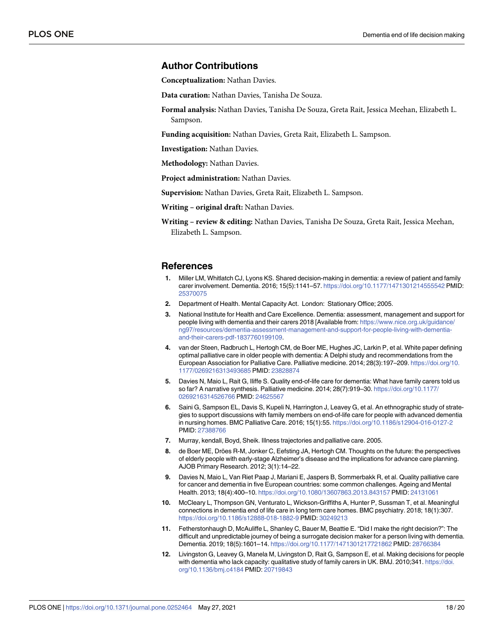#### <span id="page-17-0"></span>**Author Contributions**

**Conceptualization:** Nathan Davies.

**Data curation:** Nathan Davies, Tanisha De Souza.

**Formal analysis:** Nathan Davies, Tanisha De Souza, Greta Rait, Jessica Meehan, Elizabeth L. Sampson.

**Funding acquisition:** Nathan Davies, Greta Rait, Elizabeth L. Sampson.

**Investigation:** Nathan Davies.

**Methodology:** Nathan Davies.

**Project administration:** Nathan Davies.

**Supervision:** Nathan Davies, Greta Rait, Elizabeth L. Sampson.

**Writing – original draft:** Nathan Davies.

**Writing – review & editing:** Nathan Davies, Tanisha De Souza, Greta Rait, Jessica Meehan, Elizabeth L. Sampson.

#### **References**

- **[1](#page-1-0).** Miller LM, Whitlatch CJ, Lyons KS. Shared decision-making in dementia: a review of patient and family carer involvement. Dementia. 2016; 15(5):1141–57. <https://doi.org/10.1177/1471301214555542> PMID: [25370075](http://www.ncbi.nlm.nih.gov/pubmed/25370075)
- **[2](#page-1-0).** Department of Health. Mental Capacity Act. London: Stationary Office; 2005.
- **[3](#page-1-0).** National Institute for Health and Care Excellence. Dementia: assessment, management and support for people living with dementia and their carers 2018 [Available from: [https://www.nice.org.uk/guidance/](https://www.nice.org.uk/guidance/ng97/resources/dementia-assessment-management-and-support-for-people-living-with-dementia-and-their-carers-pdf-1837760199109) [ng97/resources/dementia-assessment-management-and-support-for-people-living-with-dementia](https://www.nice.org.uk/guidance/ng97/resources/dementia-assessment-management-and-support-for-people-living-with-dementia-and-their-carers-pdf-1837760199109)[and-their-carers-pdf-1837760199109.](https://www.nice.org.uk/guidance/ng97/resources/dementia-assessment-management-and-support-for-people-living-with-dementia-and-their-carers-pdf-1837760199109)
- **[4](#page-1-0).** van der Steen, Radbruch L, Hertogh CM, de Boer ME, Hughes JC, Larkin P, et al. White paper defining optimal palliative care in older people with dementia: A Delphi study and recommendations from the European Association for Palliative Care. Palliative medicine. 2014; 28(3):197–209. [https://doi.org/10.](https://doi.org/10.1177/0269216313493685) [1177/0269216313493685](https://doi.org/10.1177/0269216313493685) PMID: [23828874](http://www.ncbi.nlm.nih.gov/pubmed/23828874)
- **[5](#page-1-0).** Davies N, Maio L, Rait G, Iliffe S. Quality end-of-life care for dementia: What have family carers told us so far? A narrative synthesis. Palliative medicine. 2014; 28(7):919–30. [https://doi.org/10.1177/](https://doi.org/10.1177/0269216314526766) [0269216314526766](https://doi.org/10.1177/0269216314526766) PMID: [24625567](http://www.ncbi.nlm.nih.gov/pubmed/24625567)
- **[6](#page-1-0).** Saini G, Sampson EL, Davis S, Kupeli N, Harrington J, Leavey G, et al. An ethnographic study of strategies to support discussions with family members on end-of-life care for people with advanced dementia in nursing homes. BMC Palliative Care. 2016; 15(1):55. <https://doi.org/10.1186/s12904-016-0127-2> PMID: [27388766](http://www.ncbi.nlm.nih.gov/pubmed/27388766)
- **[7](#page-1-0).** Murray, kendall, Boyd, Sheik. Illness trajectories and palliative care. 2005.
- **[8](#page-1-0).** de Boer ME, Dröes R-M, Jonker C, Eefsting JA, Hertogh CM. Thoughts on the future: the perspectives of elderly people with early-stage Alzheimer's disease and the implications for advance care planning. AJOB Primary Research. 2012; 3(1):14–22.
- **[9](#page-1-0).** Davies N, Maio L, Van Riet Paap J, Mariani E, Jaspers B, Sommerbakk R, et al. Quality palliative care for cancer and dementia in five European countries: some common challenges. Ageing and Mental Health. 2013; 18(4):400–10. <https://doi.org/10.1080/13607863.2013.843157> PMID: [24131061](http://www.ncbi.nlm.nih.gov/pubmed/24131061)
- **[10](#page-1-0).** McCleary L, Thompson GN, Venturato L, Wickson-Griffiths A, Hunter P, Sussman T, et al. Meaningful connections in dementia end of life care in long term care homes. BMC psychiatry. 2018; 18(1):307. <https://doi.org/10.1186/s12888-018-1882-9> PMID: [30249213](http://www.ncbi.nlm.nih.gov/pubmed/30249213)
- **[11](#page-2-0).** Fetherstonhaugh D, McAuliffe L, Shanley C, Bauer M, Beattie E. "Did I make the right decision?": The difficult and unpredictable journey of being a surrogate decision maker for a person living with dementia. Dementia. 2019; 18(5):1601–14. <https://doi.org/10.1177/1471301217721862> PMID: [28766384](http://www.ncbi.nlm.nih.gov/pubmed/28766384)
- **[12](#page-2-0).** Livingston G, Leavey G, Manela M, Livingston D, Rait G, Sampson E, et al. Making decisions for people with dementia who lack capacity: qualitative study of family carers in UK. BMJ. 2010;341. [https://doi.](https://doi.org/10.1136/bmj.c4184) [org/10.1136/bmj.c4184](https://doi.org/10.1136/bmj.c4184) PMID: [20719843](http://www.ncbi.nlm.nih.gov/pubmed/20719843)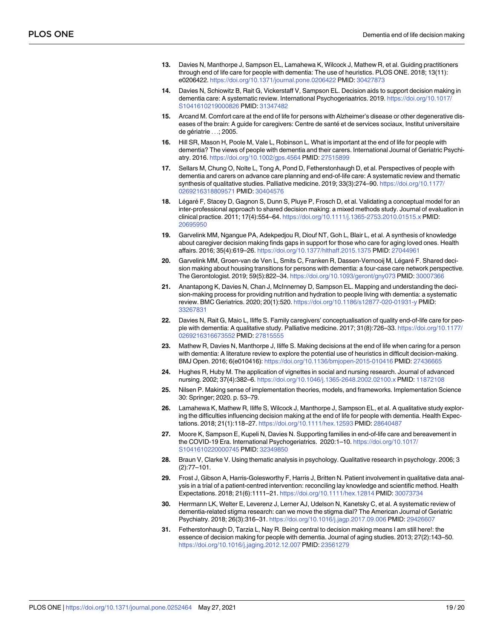- <span id="page-18-0"></span>**[13](#page-2-0).** Davies N, Manthorpe J, Sampson EL, Lamahewa K, Wilcock J, Mathew R, et al. Guiding practitioners through end of life care for people with dementia: The use of heuristics. PLOS ONE. 2018; 13(11): e0206422. <https://doi.org/10.1371/journal.pone.0206422> PMID: [30427873](http://www.ncbi.nlm.nih.gov/pubmed/30427873)
- **[14](#page-3-0).** Davies N, Schiowitz B, Rait G, Vickerstaff V, Sampson EL. Decision aids to support decision making in dementia care: A systematic review. International Psychogeriaatrics. 2019. [https://doi.org/10.1017/](https://doi.org/10.1017/S1041610219000826) [S1041610219000826](https://doi.org/10.1017/S1041610219000826) PMID: [31347482](http://www.ncbi.nlm.nih.gov/pubmed/31347482)
- **[15](#page-2-0).** Arcand M. Comfort care at the end of life for persons with Alzheimer's disease or other degenerative diseases of the brain: A guide for caregivers: Centre de santé et de services sociaux, Institut universitaire de gériatrie . . .; 2005.
- **[16](#page-2-0).** Hill SR, Mason H, Poole M, Vale L, Robinson L. What is important at the end of life for people with dementia? The views of people with dementia and their carers. International Journal of Geriatric Psychiatry. 2016. <https://doi.org/10.1002/gps.4564> PMID: [27515899](http://www.ncbi.nlm.nih.gov/pubmed/27515899)
- **[17](#page-2-0).** Sellars M, Chung O, Nolte L, Tong A, Pond D, Fetherstonhaugh D, et al. Perspectives of people with dementia and carers on advance care planning and end-of-life care: A systematic review and thematic synthesis of qualitative studies. Palliative medicine. 2019; 33(3):274–90. [https://doi.org/10.1177/](https://doi.org/10.1177/0269216318809571) [0269216318809571](https://doi.org/10.1177/0269216318809571) PMID: [30404576](http://www.ncbi.nlm.nih.gov/pubmed/30404576)
- **[18](#page-2-0).** Légaré F, Stacey D, Gagnon S, Dunn S, Pluye P, Frosch D, et al. Validating a conceptual model for an inter-professional approach to shared decision making: a mixed methods study. Journal of evaluation in clinical practice. 2011; 17(4):554–64. <https://doi.org/10.1111/j.1365-2753.2010.01515.x> PMID: [20695950](http://www.ncbi.nlm.nih.gov/pubmed/20695950)
- **[19](#page-2-0).** Garvelink MM, Ngangue PA, Adekpedjou R, Diouf NT, Goh L, Blair L, et al. A synthesis of knowledge about caregiver decision making finds gaps in support for those who care for aging loved ones. Health affairs. 2016; 35(4):619–26. <https://doi.org/10.1377/hlthaff.2015.1375> PMID: [27044961](http://www.ncbi.nlm.nih.gov/pubmed/27044961)
- [20](#page-2-0). Garvelink MM, Groen-van de Ven L, Smits C, Franken R, Dassen-Vernooij M, Légaré F. Shared decision making about housing transitions for persons with dementia: a four-case care network perspective. The Gerontologist. 2019; 59(5):822–34. <https://doi.org/10.1093/geront/gny073> PMID: [30007366](http://www.ncbi.nlm.nih.gov/pubmed/30007366)
- **[21](#page-2-0).** Anantapong K, Davies N, Chan J, McInnerney D, Sampson EL. Mapping and understanding the decision-making process for providing nutrition and hydration to people living with dementia: a systematic review. BMC Geriatrics. 2020; 20(1):520. <https://doi.org/10.1186/s12877-020-01931-y> PMID: [33267831](http://www.ncbi.nlm.nih.gov/pubmed/33267831)
- **[22](#page-3-0).** Davies N, Rait G, Maio L, Iliffe S. Family caregivers' conceptualisation of quality end-of-life care for people with dementia: A qualitative study. Palliative medicine. 2017; 31(8):726–33. [https://doi.org/10.1177/](https://doi.org/10.1177/0269216316673552) [0269216316673552](https://doi.org/10.1177/0269216316673552) PMID: [27815555](http://www.ncbi.nlm.nih.gov/pubmed/27815555)
- **[23](#page-3-0).** Mathew R, Davies N, Manthorpe J, Iliffe S. Making decisions at the end of life when caring for a person with dementia: A literature review to explore the potential use of heuristics in difficult decision-making. BMJ Open. 2016; 6(e010416): <https://doi.org/10.1136/bmjopen-2015-010416> PMID: [27436665](http://www.ncbi.nlm.nih.gov/pubmed/27436665)
- **[24](#page-3-0).** Hughes R, Huby M. The application of vignettes in social and nursing research. Journal of advanced nursing. 2002; 37(4):382–6. <https://doi.org/10.1046/j.1365-2648.2002.02100.x> PMID: [11872108](http://www.ncbi.nlm.nih.gov/pubmed/11872108)
- **[25](#page-4-0).** Nilsen P. Making sense of implementation theories, models, and frameworks. Implementation Science 30: Springer; 2020. p. 53–79.
- **[26](#page-4-0).** Lamahewa K, Mathew R, Iliffe S, Wilcock J, Manthorpe J, Sampson EL, et al. A qualitative study exploring the difficulties influencing decision making at the end of life for people with dementia. Health Expectations. 2018; 21(1):118–27. <https://doi.org/10.1111/hex.12593> PMID: [28640487](http://www.ncbi.nlm.nih.gov/pubmed/28640487)
- **[27](#page-4-0).** Moore K, Sampson E, Kupeli N, Davies N. Supporting families in end-of-life care and bereavement in the COVID-19 Era. International Psychogeriatrics. 2020:1–10. [https://doi.org/10.1017/](https://doi.org/10.1017/S1041610220000745) [S1041610220000745](https://doi.org/10.1017/S1041610220000745) PMID: [32349850](http://www.ncbi.nlm.nih.gov/pubmed/32349850)
- **[28](#page-4-0).** Braun V, Clarke V. Using thematic analysis in psychology. Qualitative research in psychology. 2006; 3 (2):77–101.
- **[29](#page-5-0).** Frost J, Gibson A, Harris-Golesworthy F, Harris J, Britten N. Patient involvement in qualitative data analysis in a trial of a patient-centred intervention: reconciling lay knowledge and scientific method. Health Expectations. 2018; 21(6):1111–21. <https://doi.org/10.1111/hex.12814> PMID: [30073734](http://www.ncbi.nlm.nih.gov/pubmed/30073734)
- **[30](#page-14-0).** Herrmann LK, Welter E, Leverenz J, Lerner AJ, Udelson N, Kanetsky C, et al. A systematic review of dementia-related stigma research: can we move the stigma dial? The American Journal of Geriatric Psychiatry. 2018; 26(3):316–31. <https://doi.org/10.1016/j.jagp.2017.09.006> PMID: [29426607](http://www.ncbi.nlm.nih.gov/pubmed/29426607)
- **[31](#page-14-0).** Fetherstonhaugh D, Tarzia L, Nay R. Being central to decision making means I am still here!: the essence of decision making for people with dementia. Journal of aging studies. 2013; 27(2):143–50. <https://doi.org/10.1016/j.jaging.2012.12.007> PMID: [23561279](http://www.ncbi.nlm.nih.gov/pubmed/23561279)